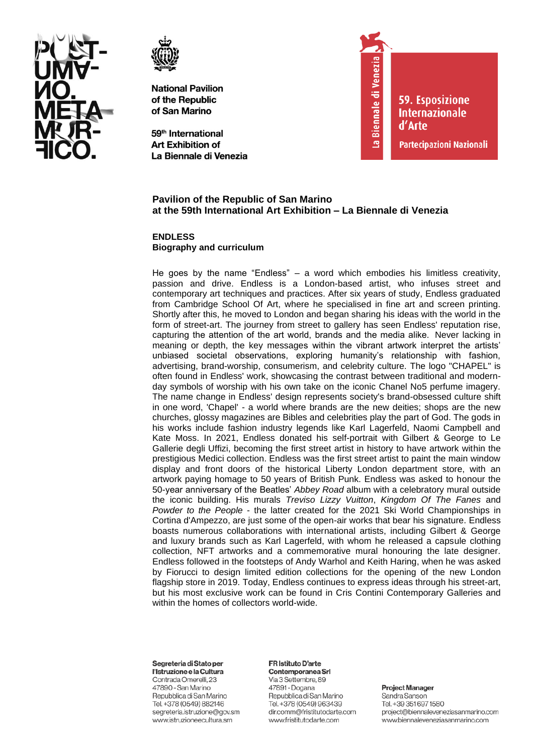



59<sup>th</sup> International **Art Exhibition of** La Biennale di Venezia



**59. Esposizione Internazionale** d'Arte

Partecipazioni Nazionali

# **Pavilion of the Republic of San Marino at the 59th International Art Exhibition – La Biennale di Venezia**

**ENDLESS Biography and curriculum**

He goes by the name "Endless" – a word which embodies his limitless creativity, passion and drive. Endless is a London-based artist, who infuses street and contemporary art techniques and practices. After six years of study, Endless graduated from Cambridge School Of Art, where he specialised in fine art and screen printing. Shortly after this, he moved to London and began sharing his ideas with the world in the form of street-art. The journey from street to gallery has seen Endless' reputation rise, capturing the attention of the art world, brands and the media alike.   Never lacking in meaning or depth, the key messages within the vibrant artwork interpret the artists' unbiased societal observations, exploring humanity's relationship with fashion, advertising, brand-worship, consumerism, and celebrity culture. The logo "CHAPEL" is often found in Endless' work, showcasing the contrast between traditional and modernday symbols of worship with his own take on the iconic Chanel No5 perfume imagery. The name change in Endless' design represents society's brand-obsessed culture shift in one word, 'Chapel' - a world where brands are the new deities; shops are the new churches, glossy magazines are Bibles and celebrities play the part of God. The gods in his works include fashion industry legends like Karl Lagerfeld, Naomi Campbell and Kate Moss. In 2021, Endless donated his self-portrait with Gilbert & George to Le Gallerie degli Uffizi, becoming the first street artist in history to have artwork within the prestigious Medici collection. Endless was the first street artist to paint the main window display and front doors of the historical Liberty London department store, with an artwork paying homage to 50 years of British Punk. Endless was asked to honour the 50-year anniversary of the Beatles' *Abbey Road* album with a celebratory mural outside the iconic building. His murals *Treviso Lizzy Vuitton*, *Kingdom Of The Fanes* and *Powder to the People* - the latter created for the 2021 Ski World Championships in Cortina d'Ampezzo, are just some of the open-air works that bear his signature. Endless boasts numerous collaborations with international artists, including Gilbert & George and luxury brands such as Karl Lagerfeld, with whom he released a capsule clothing collection, NFT artworks and a commemorative mural honouring the late designer. Endless followed in the footsteps of Andy Warhol and Keith Haring, when he was asked by Fiorucci to design limited edition collections for the opening of the new London flagship store in 2019. Today, Endless continues to express ideas through his street-art, but his most exclusive work can be found in Cris Contini Contemporary Galleries and within the homes of collectors world-wide.

#### Segreteria di Stato per

l'Istruzione e la Cultura Contrada Omerelli, 23 47890 - San Marino Repubblica di San Marino Tel. +378 (0549) 882146 segreteria.istruzione@gov.sm www.istruzioneecultura.sm

#### FR Istituto D'arte

Contemporanea Srl Via 3 Settembre, 89 47891 - Dogana Repubblica di San Marino Tel. +378 (0549) 963439 dir.comm@fristitutodarte.com www.fristitutodarte.com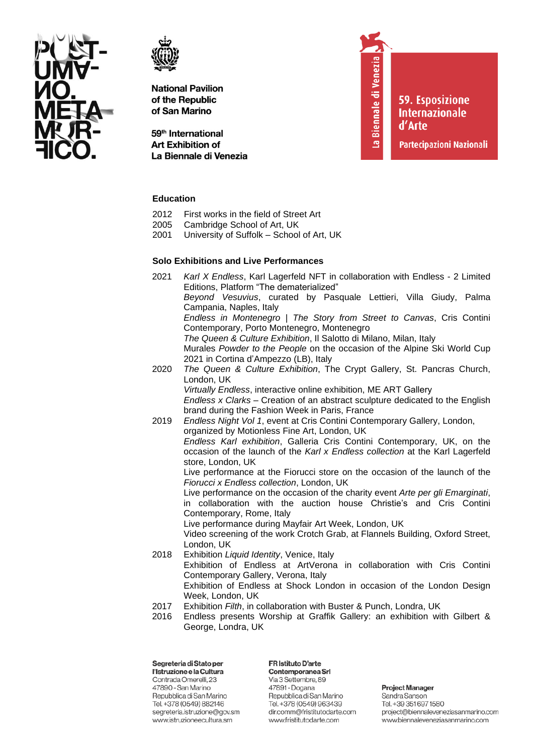



59<sup>th</sup> International **Art Exhibition of** La Biennale di Venezia La Biennale di Venezia

**59. Esposizione Internazionale** d'Arte

Partecipazioni Nazionali

# **Education**

- 2012 First works in the field of Street Art<br>2005 Cambridge School of Art. UK
- Cambridge School of Art, UK
- 2001 University of Suffolk School of Art, UK

# **Solo Exhibitions and Live Performances**

- 2021 *Karl X Endless*, Karl Lagerfeld NFT in collaboration with Endless 2 Limited Editions, Platform "The dematerialized" *Beyond Vesuvius*, curated by Pasquale Lettieri, Villa Giudy, Palma Campania, Naples, Italy *Endless in Montenegro | The Story from Street to Canvas*, Cris Contini Contemporary, Porto Montenegro, Montenegro *The Queen & Culture Exhibition*, Il Salotto di Milano, Milan, Italy Murales *Powder to the People* on the occasion of the Alpine Ski World Cup 2021 in Cortina d'Ampezzo (LB), Italy 2020 *The Queen & Culture Exhibition*, The Crypt Gallery, St. Pancras Church, London, UK *Virtually Endless*, interactive online exhibition, ME ART Gallery   *Endless x Clarks* – Creation of an abstract sculpture dedicated to the English brand during the Fashion Week in Paris, France 2019 *Endless Night Vol 1*, event at Cris Contini Contemporary Gallery, London, organized by Motionless Fine Art, London, UK *Endless Karl exhibition*, Galleria Cris Contini Contemporary, UK, on the occasion of the launch of the *Karl x Endless collection* at the Karl Lagerfeld store, London, UK Live performance at the Fiorucci store on the occasion of the launch of the *Fiorucci x Endless collection*, London, UK Live performance on the occasion of the charity event *Arte per gli Emarginati*, in collaboration with the auction house Christie's and Cris Contini Contemporary, Rome, Italy Live performance during Mayfair Art Week, London, UK Video screening of the work Crotch Grab, at Flannels Building, Oxford Street, London, UK 2018 Exhibition *Liquid Identity*, Venice, Italy Exhibition of Endless at ArtVerona in collaboration with Cris Contini Contemporary Gallery, Verona, Italy Exhibition of Endless at Shock London in occasion of the London Design
	- Week, London, UK
- 
- 2017 Exhibition *Filth*, in collaboration with Buster & Punch, Londra, UK<br>2016 Endless presents Worship at Graffik Gallery: an exhibition wit Endless presents Worship at Graffik Gallery: an exhibition with Gilbert & George, Londra, UK

Segreteria di Stato per l'Istruzione e la Cultura Contrada Omerelli, 23 47890 - San Marino Repubblica di San Marino Tel. +378 (0549) 882146 segreteria.istruzione@gov.sm www.istruzioneecultura.sm

FR Istituto D'arte Contemporanea Srl Via 3 Settembre, 89 47891 - Dogana Repubblica di San Marino Tel. +378 (0549) 963439 dir.comm@fristitutodarte.com www.fristitutodarte.com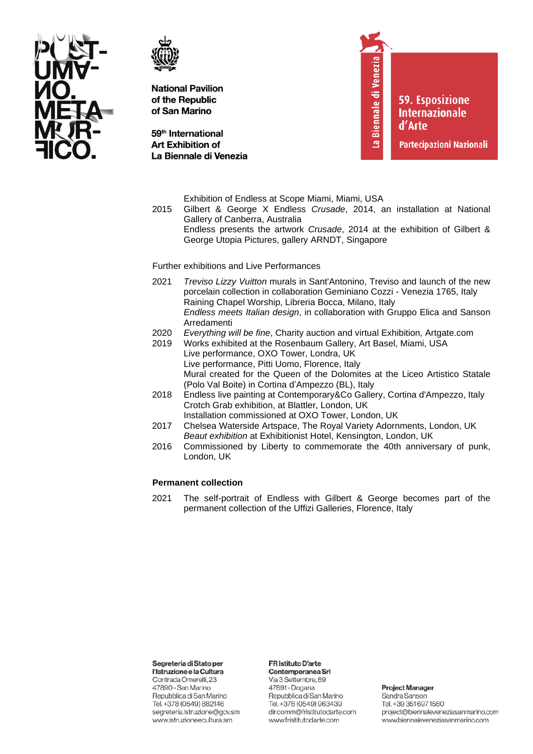



59<sup>th</sup> International **Art Exhibition of** La Biennale di Venezia La Biennale di Venezia

**59. Esposizione Internazionale** d'Arte

Partecipazioni Nazionali

Exhibition of Endless at Scope Miami, Miami, USA

2015 Gilbert & George X Endless *Crusade*, 2014, an installation at National Gallery of Canberra, Australia

Endless presents the artwork *Crusade*, 2014 at the exhibition of Gilbert & George Utopia Pictures, gallery ARNDT, Singapore

Further exhibitions and Live Performances

- 2021 *Treviso Lizzy Vuitton* murals in Sant'Antonino, Treviso and launch of the new porcelain collection in collaboration Geminiano Cozzi - Venezia 1765, Italy Raining Chapel Worship, Libreria Bocca, Milano, Italy *Endless meets Italian design*, in collaboration with Gruppo Elica and Sanson Arredamenti
- 2020 *Everything will be fine*, Charity auction and virtual Exhibition, Artgate.com
- 2019 Works exhibited at the Rosenbaum Gallery, Art Basel, Miami, USA Live performance, OXO Tower, Londra, UK Live performance, Pitti Uomo, Florence, Italy Mural created for the Queen of the Dolomites at the Liceo Artistico Statale (Polo Val Boite) in Cortina d'Ampezzo (BL), Italy
- 2018 Endless live painting at Contemporary&Co Gallery, Cortina d'Ampezzo, Italy Crotch Grab exhibition, at Blattler, London, UK Installation commissioned at OXO Tower, London, UK
- 2017 Chelsea Waterside Artspace, The Royal Variety Adornments, London, UK *Beaut exhibition* at Exhibitionist Hotel, Kensington, London, UK
- 2016 Commissioned by Liberty to commemorate the 40th anniversary of punk, London, UK

### **Permanent collection**

2021 The self-portrait of Endless with Gilbert & George becomes part of the permanent collection of the Uffizi Galleries, Florence, Italy

Segreteria di Stato per

l'Istruzione e la Cultura Contrada Omerelli, 23 47890 - San Marino Repubblica di San Marino Tel. +378 (0549) 882146 segreteria.istruzione@gov.sm www.istruzioneecultura.sm

#### FR Istituto D'arte

Contemporanea Srl Via 3 Settembre, 89 47891 - Dogana Repubblica di San Marino Tel. +378 (0549) 963439 dir.comm@fristitutodarte.com www.fristitutodarte.com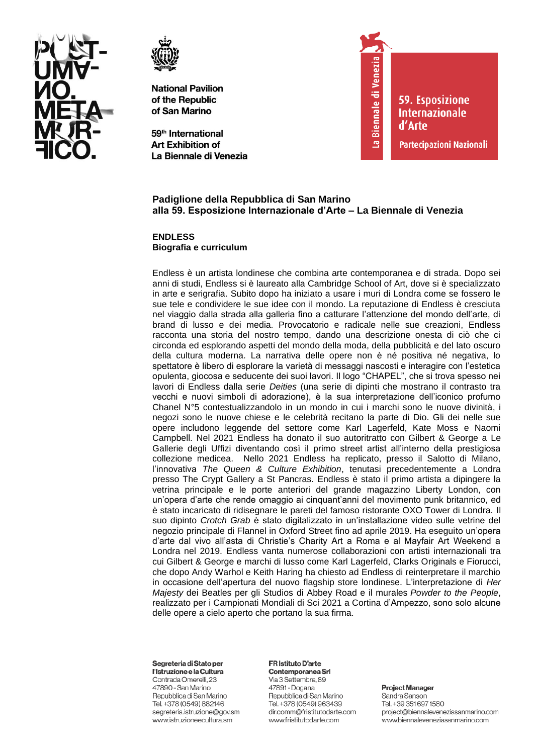



59<sup>th</sup> International **Art Exhibition of** La Biennale di Venezia



**59. Esposizione Internazionale** d'Arte

Partecipazioni Nazionali

# Padiglione della Repubblica di San Marino alla 59. Esposizione Internazionale d'Arte - La Biennale di Venezia

**ENDLESS** Biografia e curriculum

Endless è un artista londinese che combina arte contemporanea e di strada. Dopo sei anni di studi, Endless si è laureato alla Cambridge School of Art, dove si è specializzato in arte e serigrafia. Subito dopo ha iniziato a usare i muri di Londra come se fossero le sue tele e condividere le sue idee con il mondo. La reputazione di Endless è cresciuta nel viaggio dalla strada alla galleria fino a catturare l'attenzione del mondo dell'arte, di brand di lusso e dei media. Provocatorio e radicale nelle sue creazioni, Endless racconta una storia del nostro tempo, dando una descrizione onesta di ciò che ci circonda ed esplorando aspetti del mondo della moda, della pubblicità e del lato oscuro della cultura moderna. La narrativa delle opere non è né positiva né negativa, lo spettatore è libero di esplorare la varietà di messaggi nascosti e interagire con l'estetica opulenta, giocosa e seducente dei suoi lavori. Il logo "CHAPEL", che si trova spesso nei lavori di Endless dalla serie Deities (una serie di dipinti che mostrano il contrasto tra vecchi e nuovi simboli di adorazione), è la sua interpretazione dell'iconico profumo Chanel N°5 contestualizzandolo in un mondo in cui i marchi sono le nuove divinità, i negozi sono le nuove chiese e le celebrità recitano la parte di Dio. Gli dei nelle sue opere includono leggende del settore come Karl Lagerfeld, Kate Moss e Naomi Campbell. Nel 2021 Endless ha donato il suo autoritratto con Gilbert & George a Le Gallerie degli Uffizi diventando così il primo street artist all'interno della prestigiosa collezione medicea. Nello 2021 Endless ha replicato, presso il Salotto di Milano, l'innovativa The Queen & Culture Exhibition, tenutasi precedentemente a Londra presso The Crypt Gallery a St Pancras. Endless è stato il primo artista a dipingere la vetrina principale e le porte anteriori del grande magazzino Liberty London, con un'opera d'arte che rende omaggio ai cinquant'anni del movimento punk britannico, ed è stato incaricato di ridisegnare le pareti del famoso ristorante OXO Tower di Londra. Il suo dipinto Crotch Grab è stato digitalizzato in un'installazione video sulle vetrine del negozio principale di Flannel in Oxford Street fino ad aprile 2019. Ha eseguito un'opera d'arte dal vivo all'asta di Christie's Charity Art a Roma e al Mayfair Art Weekend a Londra nel 2019. Endless vanta numerose collaborazioni con artisti internazionali tra cui Gilbert & George e marchi di lusso come Karl Lagerfeld, Clarks Originals e Fiorucci, che dopo Andy Warhol e Keith Haring ha chiesto ad Endless di reinterpretare il marchio in occasione dell'apertura del nuovo flagship store londinese. L'interpretazione di Her Majesty dei Beatles per gli Studios di Abbey Road e il murales Powder to the People, realizzato per i Campionati Mondiali di Sci 2021 a Cortina d'Ampezzo, sono solo alcune delle opere a cielo aperto che portano la sua firma.

#### Segreteria di Stato per

l'Istruzione e la Cultura Contrada Omerelli, 23 47890 - San Marino Repubblica di San Marino Tel. +378 (0549) 882146 segreteria.istruzione@gov.sm www.istruzioneecultura.sm

#### FR Istituto D'arte Contemporanea Srl

Via 3 Settembre, 89 47891 - Dogana Repubblica di San Marino Tel. +378 (0549) 963439 dir.comm@fristitutodarte.com www.fristitutodarte.com

**Project Manager**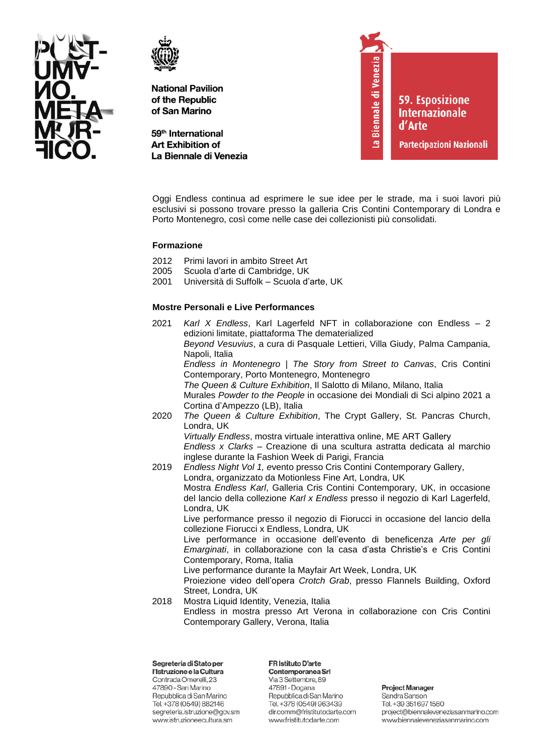



59<sup>th</sup> International **Art Exhibition of** La Biennale di Venezia La Biennale di Venezia

**59. Esposizione Internazionale** d'Arte

Partecipazioni Nazionali

Oggi Endless continua ad esprimere le sue idee per le strade, ma i suoi lavori più esclusivi si possono trovare presso la galleria Cris Contini Contemporary di Londra e Porto Montenegro, così come nelle case dei collezionisti più consolidati.

# **Formazione**

- 2012 Primi lavori in ambito Street Art
- 2005 Scuola d'arte di Cambridge, UK
- 2001 Università di Suffolk Scuola d'arte, UK

# **Mostre Personali e Live Performances**

- 2021 *Karl X Endless*, Karl Lagerfeld NFT in collaborazione con Endless 2 edizioni limitate, piattaforma The dematerialized *Beyond Vesuvius*, a cura di Pasquale Lettieri, Villa Giudy, Palma Campania, Napoli, Italia *Endless in Montenegro | The Story from Street to Canvas*, Cris Contini Contemporary, Porto Montenegro, Montenegro *The Queen & Culture Exhibition*, Il Salotto di Milano, Milano, Italia Murales *Powder to the People* in occasione dei Mondiali di Sci alpino 2021 a Cortina d'Ampezzo (LB), Italia 2020 *The Queen & Culture Exhibition*, The Crypt Gallery, St. Pancras Church, Londra, UK *Virtually Endless*, mostra virtuale interattiva online, ME ART Gallery   *Endless x Clarks* – Creazione di una scultura astratta dedicata al marchio inglese durante la Fashion Week di Parigi, Francia 2019 *Endless Night Vol 1, e*vento presso Cris Contini Contemporary Gallery, Londra, organizzato da Motionless Fine Art, Londra, UK Mostra *Endless Karl*, Galleria Cris Contini Contemporary, UK, in occasione del lancio della collezione *Karl x Endless* presso il negozio di Karl Lagerfeld, Londra, UK Live performance presso il negozio di Fiorucci in occasione del lancio della collezione Fiorucci x Endless, Londra, UK Live performance in occasione dell'evento di beneficenza *Arte per gli Emarginati*, in collaborazione con la casa d'asta Christie's e Cris Contini Contemporary, Roma, Italia Live performance durante la Mayfair Art Week, Londra, UK Proiezione video dell'opera *Crotch Grab*, presso Flannels Building, Oxford Street, Londra, UK 2018 Mostra Liquid Identity, Venezia, Italia
	- Endless in mostra presso Art Verona in collaborazione con Cris Contini Contemporary Gallery, Verona, Italia

Segreteria di Stato per l'Istruzione e la Cultura Contrada Omerelli, 23 47890 - San Marino Repubblica di San Marino Tel. +378 (0549) 882146 segreteria.istruzione@gov.sm www.istruzioneecultura.sm

FR Istituto D'arte Contemporanea Srl Via 3 Settembre, 89 47891 - Dogana Repubblica di San Marino Tel. +378 (0549) 963439

www.fristitutodarte.com

dir.comm@fristitutodarte.com